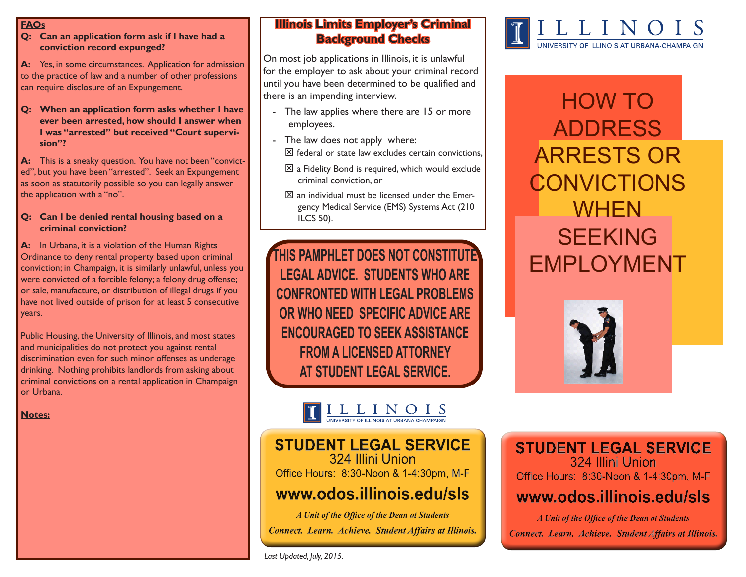#### **FAQs**

**Q: Can an application form ask if I have had a conviction record expunged?**

**A:** Yes, in some circumstances. Application for admission to the practice of law and a number of other professions can require disclosure of an Expungement.

**Q: When an application form asks whether I have ever been arrested, how should I answer when I was "arrested" but received "Court supervision"?**

**A:** This is a sneaky question. You have not been "convicted", but you have been "arrested". Seek an Expungement as soon as statutorily possible so you can legally answer the application with a "no".

#### **Q: Can I be denied rental housing based on a criminal conviction?**

**A:** In Urbana, it is a violation of the Human Rights Ordinance to deny rental property based upon criminal conviction; in Champaign, it is similarly unlawful, unless you were convicted of a forcible felony; a felony drug offense; or sale, manufacture, or distribution of illegal drugs if you have not lived outside of prison for at least 5 consecutive years.

Public Housing, the University of Illinois, and most states and municipalities do not protect you against rental discrimination even for such minor offenses as underage drinking. Nothing prohibits landlords from asking about criminal convictions on a rental application in Champaign or Urbana.

**Notes:**

## **Illinois Limits Employer's Criminal Background Checks**

On most job applications in Illinois, it is unlawful for the employer to ask about your criminal record until you have been determined to be qualified and there is an impending interview.

- The law applies where there are 15 or more employees.
- The law does not apply where:  $\boxtimes$  federal or state law excludes certain convictions,
	- $\boxtimes$  a Fidelity Bond is required, which would exclude criminal conviction, or
	- $\boxtimes$  an individual must be licensed under the Emergency Medical Service (EMS) Systems Act (210 ILCS 50).

THIS PAMPHLET DOES NOT CONSTITUTE **THIS PAMPHLET DOES NOT CONSTITUTE LEGAL ADVICE. STUDENTS WHO ARE CONFRONTED WITH LEGAL PROBLEMS OR WHO NEED SPECIFIC ADVICE ARE ENCOURAGED TO SEEK ASSISTANCE FROM A LICENSED ATTORNEY AT STUDENT LEGAL SERVICE.**



## **STUDENT LEGAL SERVICE** 324 Illini Union

Office Hours: 8:30-Noon & 1-4:30pm, M-F

# www.odos.illinois.edu/sls

A Unit of the Office of the Dean ot Students Connect. Learn. Achieve. Student Affairs at Illinois.



# HOW TO ADDRESS ARRESTS OR **CONVICTIONS WHEN SEEKING**



# **STUDENT LEGAL SERVICE** 324 Illini Union

Office Hours: 8:30-Noon & 1-4:30pm, M-F

# www.odos.illinois.edu/sls

A Unit of the Office of the Dean ot Students Connect. Learn. Achieve. Student Affairs at Illinois.